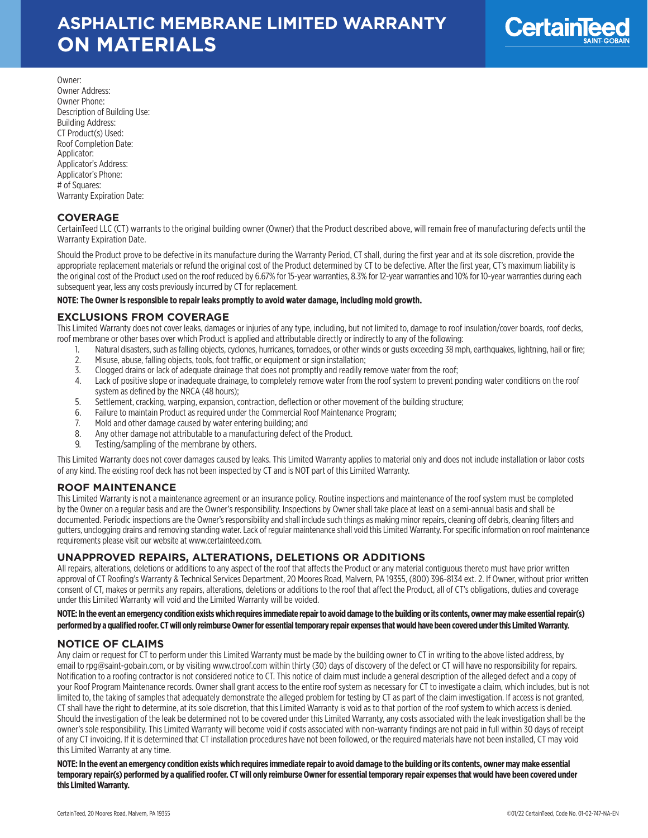

Owner: Owner Address: Owner Phone: Description of Building Use: Building Address: CT Product(s) Used: Roof Completion Date: Applicator: Applicator's Address: Applicator's Phone: # of Squares: Warranty Expiration Date:

## **COVERAGE**

CertainTeed LLC (CT) warrants to the original building owner (Owner) that the Product described above, will remain free of manufacturing defects until the Warranty Expiration Date.

Should the Product prove to be defective in its manufacture during the Warranty Period, CT shall, during the first year and at its sole discretion, provide the appropriate replacement materials or refund the original cost of the Product determined by CT to be defective. After the first year, CT's maximum liability is the original cost of the Product used on the roof reduced by 6.67% for 15-year warranties, 8.3% for 12-year warranties and 10% for 10-year warranties during each subsequent year, less any costs previously incurred by CT for replacement.

#### **NOTE: The Owner is responsible to repair leaks promptly to avoid water damage, including mold growth.**

## **EXCLUSIONS FROM COVERAGE**

This Limited Warranty does not cover leaks, damages or injuries of any type, including, but not limited to, damage to roof insulation/cover boards, roof decks, roof membrane or other bases over which Product is applied and attributable directly or indirectly to any of the following:

- 1. Natural disasters, such as falling objects, cyclones, hurricanes, tornadoes, or other winds or gusts exceeding 38 mph, earthquakes, lightning, hail or fire;
- 2. Misuse, abuse, falling objects, tools, foot traffic, or equipment or sign installation;
- 3. Clogged drains or lack of adequate drainage that does not promptly and readily remove water from the roof;<br>4. Lack of positive slope or inadequate drainage, to completely remove water from the roof system to prevent p
- Lack of positive slope or inadequate drainage, to completely remove water from the roof system to prevent ponding water conditions on the roof system as defined by the NRCA (48 hours);
- 5. Settlement, cracking, warping, expansion, contraction, deflection or other movement of the building structure;
- 6. Failure to maintain Product as required under the Commercial Roof Maintenance Program;
- 7. Mold and other damage caused by water entering building; and
- 8. Any other damage not attributable to a manufacturing defect of the Product.
- 9. Testing/sampling of the membrane by others.

This Limited Warranty does not cover damages caused by leaks. This Limited Warranty applies to material only and does not include installation or labor costs of any kind. The existing roof deck has not been inspected by CT and is NOT part of this Limited Warranty.

### **ROOF MAINTENANCE**

This Limited Warranty is not a maintenance agreement or an insurance policy. Routine inspections and maintenance of the roof system must be completed by the Owner on a regular basis and are the Owner's responsibility. Inspections by Owner shall take place at least on a semi-annual basis and shall be documented. Periodic inspections are the Owner's responsibility and shall include such things as making minor repairs, cleaning off debris, cleaning filters and gutters, unclogging drains and removing standing water. Lack of regular maintenance shall void this Limited Warranty. For specific information on roof maintenance requirements please visit our website at www.certainteed.com.

### **UNAPPROVED REPAIRS, ALTERATIONS, DELETIONS OR ADDITIONS**

All repairs, alterations, deletions or additions to any aspect of the roof that affects the Product or any material contiguous thereto must have prior written approval of CT Roofing's Warranty & Technical Services Department, 20 Moores Road, Malvern, PA 19355, (800) 396-8134 ext. 2. If Owner, without prior written consent of CT, makes or permits any repairs, alterations, deletions or additions to the roof that affect the Product, all of CT's obligations, duties and coverage under this Limited Warranty will void and the Limited Warranty will be voided.

**NOTE: In the event an emergency condition exists which requires immediate repair to avoid damage to the building or its contents, owner may make essential repair(s) performed by a qualified roofer. CT will only reimburse Owner for essential temporary repair expenses that would have been covered under this Limited Warranty.**

### **NOTICE OF CLAIMS**

Any claim or request for CT to perform under this Limited Warranty must be made by the building owner to CT in writing to the above listed address, by email to rpg@saint-gobain.com, or by visiting www.ctroof.com within thirty (30) days of discovery of the defect or CT will have no responsibility for repairs. Notification to a roofing contractor is not considered notice to CT. This notice of claim must include a general description of the alleged defect and a copy of your Roof Program Maintenance records. Owner shall grant access to the entire roof system as necessary for CT to investigate a claim, which includes, but is not limited to, the taking of samples that adequately demonstrate the alleged problem for testing by CT as part of the claim investigation. If access is not granted, CT shall have the right to determine, at its sole discretion, that this Limited Warranty is void as to that portion of the roof system to which access is denied. Should the investigation of the leak be determined not to be covered under this Limited Warranty, any costs associated with the leak investigation shall be the owner's sole responsibility. This Limited Warranty will become void if costs associated with non-warranty findings are not paid in full within 30 days of receipt of any CT invoicing. If it is determined that CT installation procedures have not been followed, or the required materials have not been installed, CT may void this Limited Warranty at any time.

**NOTE: In the event an emergency condition exists which requires immediate repair to avoid damage to the building or its contents, owner may make essential temporary repair(s) performed by a qualified roofer. CT will only reimburse Owner for essential temporary repair expenses that would have been covered under this Limited Warranty.**